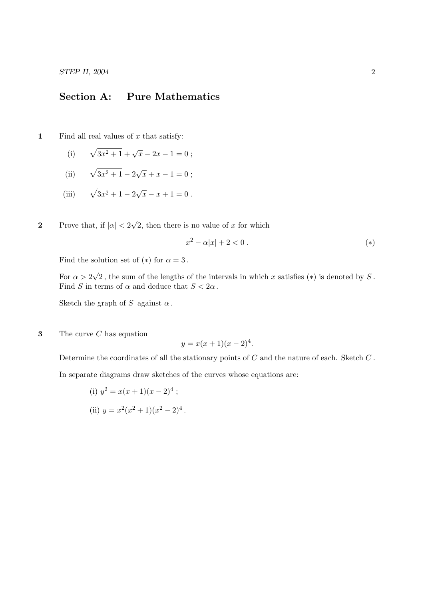## Section A: Pure Mathematics

1 Find all real values of  $x$  that satisfy:

- (i)  $\sqrt{3x^2 + 1} + \sqrt{x} 2x 1 = 0$ ;
- $(ii)$  $\frac{1}{3x^2+1}-2\sqrt{2}$  $\overline{x} + x - 1 = 0;$
- $(iii)$  $\frac{1}{3x^2+1}-2\sqrt{2}$  $\overline{x} - x + 1 = 0$ .
- 2 Prove that, if  $|\alpha| < 2$ √ 2, then there is no value of  $x$  for which

$$
x^2 - \alpha |x| + 2 < 0 \tag{(*)}
$$

Find the solution set of  $(*)$  for  $\alpha = 3$ .

For  $\alpha > 2$ √ 2, the sum of the lengths of the intervals in which x satisfies  $(*)$  is denoted by S. Find S in terms of  $\alpha$  and deduce that  $S < 2\alpha$ .

Sketch the graph of S against  $\alpha$ .

**3** The curve  $C$  has equation

$$
y = x(x+1)(x-2)^4.
$$

Determine the coordinates of all the stationary points of  $C$  and the nature of each. Sketch  $C$ .

In separate diagrams draw sketches of the curves whose equations are:

(i) 
$$
y^2 = x(x+1)(x-2)^4
$$
;

(ii) 
$$
y = x^2(x^2 + 1)(x^2 - 2)^4
$$
.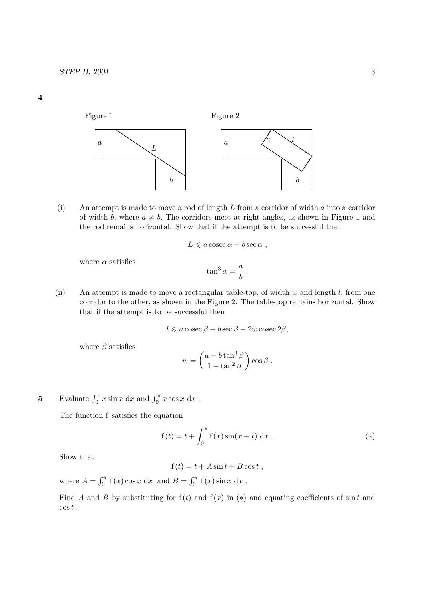



(i) An attempt is made to move a rod of length L from a corridor of width a into a corridor of width b, where  $a \neq b$ . The corridors meet at right angles, as shown in Figure 1 and the rod remains horizontal. Show that if the attempt is to be successful then

$$
L \leqslant a \csc \alpha + b \sec \alpha ,
$$

where  $\alpha$  satisfies

$$
\tan^3\alpha = \frac{a}{b} \; .
$$

(ii) An attempt is made to move a rectangular table-top, of width  $w$  and length  $l$ , from one corridor to the other, as shown in the Figure 2. The table-top remains horizontal. Show that if the attempt is to be successful then

$$
l \leq a \csc \beta + b \sec \beta - 2w \csc 2\beta,
$$

where  $\beta$  satisfies

$$
w = \left(\frac{a - b \tan^3 \beta}{1 - \tan^2 \beta}\right) \cos \beta.
$$

5 Evaluate  $\int_0^{\pi} x \sin x \, dx$  and  $\int_0^{\pi} x \cos x \, dx$ .

The function f satisfies the equation

$$
f(t) = t + \int_0^{\pi} f(x) \sin(x + t) dx
$$
. (\*)

Show that

 $f(t) = t + A \sin t + B \cos t$ ,

where  $A = \int_0^{\pi} f(x) \cos x \, dx$  and  $B = \int_0^{\pi} f(x) \sin x \, dx$ .

Find A and B by substituting for  $f(t)$  and  $f(x)$  in  $(*)$  and equating coefficients of sin t and  $\cos t$ .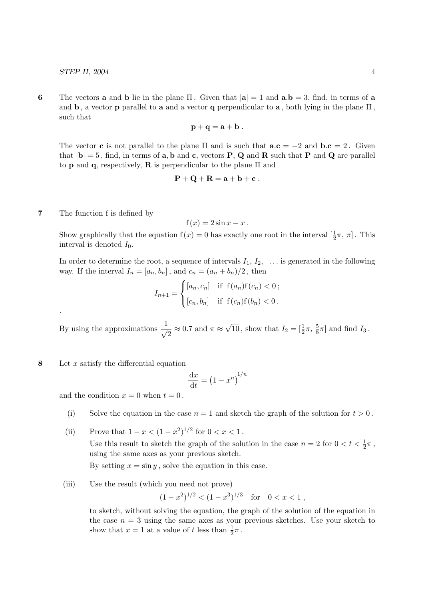6 The vectors **a** and **b** lie in the plane  $\Pi$ . Given that  $|\mathbf{a}| = 1$  and  $\mathbf{a}.\mathbf{b} = 3$ , find, in terms of **a** and b, a vector p parallel to a and a vector q perpendicular to a, both lying in the plane  $\Pi$ , such that

$$
\mathbf{p} + \mathbf{q} = \mathbf{a} + \mathbf{b} \ .
$$

The vector **c** is not parallel to the plane  $\Pi$  and is such that  $\mathbf{a} \cdot \mathbf{c} = -2$  and  $\mathbf{b} \cdot \mathbf{c} = 2$ . Given that  $|{\bf b}| = 5$ , find, in terms of **a**, **b** and **c**, vectors **P**, **Q** and **R** such that **P** and **Q** are parallel to **p** and **q**, respectively, **R** is perpendicular to the plane  $\Pi$  and

$$
\mathbf{P} + \mathbf{Q} + \mathbf{R} = \mathbf{a} + \mathbf{b} + \mathbf{c}.
$$

7 The function f is defined by

.

$$
f(x) = 2\sin x - x.
$$

Show graphically that the equation  $f(x) = 0$  has exactly one root in the interval  $[\frac{1}{2}\pi, \pi]$ . This interval is denoted  $I_0$ .

In order to determine the root, a sequence of intervals  $I_1, I_2, \ldots$  is generated in the following way. If the interval  $I_n = [a_n, b_n]$ , and  $c_n = (a_n + b_n)/2$ , then

$$
I_{n+1} = \begin{cases} [a_n, c_n] & \text{if } f(a_n) f(c_n) < 0; \\ [c_n, b_n] & \text{if } f(c_n) f(b_n) < 0. \end{cases}
$$

By using the approximations  $\frac{1}{\sqrt{2}} \approx 0.7$  and  $\pi \approx$  $\sqrt{10}$ , show that  $I_2 = \left[\frac{1}{2}\pi, \frac{5}{8}\pi\right]$  and find  $I_3$ .

8 Let  $x$  satisfy the differential equation

$$
\frac{\mathrm{d}x}{\mathrm{d}t} = \left(1 - x^n\right)^{1/n}
$$

and the condition  $x = 0$  when  $t = 0$ .

- (i) Solve the equation in the case  $n = 1$  and sketch the graph of the solution for  $t > 0$ .
- (ii) Prove that  $1 x < (1 x^2)^{1/2}$  for  $0 < x < 1$ . Use this result to sketch the graph of the solution in the case  $n = 2$  for  $0 < t < \frac{1}{2}\pi$ , using the same axes as your previous sketch.

By setting  $x = \sin y$ , solve the equation in this case.

(iii) Use the result (which you need not prove)

$$
(1-x^2)^{1/2} < (1-x^3)^{1/3}
$$
 for  $0 < x < 1$ ,

to sketch, without solving the equation, the graph of the solution of the equation in the case  $n = 3$  using the same axes as your previous sketches. Use your sketch to show that  $x = 1$  at a value of t less than  $\frac{1}{2}\pi$ .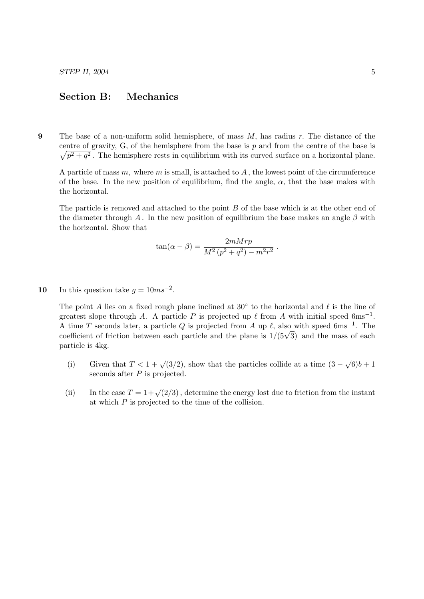# Section B: Mechanics

9 The base of a non-uniform solid hemisphere, of mass  $M$ , has radius  $r$ . The distance of the centre of gravity,  $G$ , of the hemisphere from the base is  $p$  and from the centre of the base is  $\sqrt{p^2+q^2}$ . The hemisphere rests in equilibrium with its curved surface on a horizontal plane.

A particle of mass  $m$ , where  $m$  is small, is attached to  $A$ , the lowest point of the circumference of the base. In the new position of equilibrium, find the angle,  $\alpha$ , that the base makes with the horizontal.

The particle is removed and attached to the point B of the base which is at the other end of the diameter through A. In the new position of equilibrium the base makes an angle  $\beta$  with the horizontal. Show that

$$
\tan(\alpha - \beta) = \frac{2mMrp}{M^2\left(p^2 + q^2\right) - m^2r^2}
$$

.

10 In this question take  $g = 10ms^{-2}$ .

The point A lies on a fixed rough plane inclined at  $30^\circ$  to the horizontal and  $\ell$  is the line of greatest slope through A. A particle P is projected up  $\ell$  from A with initial speed 6ms<sup>-1</sup>. A time T seconds later, a particle Q is projected from A up  $\ell$ , also with speed 6ms<sup>-1</sup>. The A time *I* seconds later, a particle  $Q$  is projected from A up  $\ell$ , also with speed ones  $\ell$ . The coefficient of friction between each particle and the plane is  $1/(5\sqrt{3})$  and the mass of each particle is 4kg.

- (i) Given that  $T < 1 + \sqrt{3/2}$ , show that the particles collide at a time  $(3 \sqrt{6})b + 1$ seconds after  $P$  is projected.
- (ii) In the case  $T = 1 + \sqrt{2/3}$ , determine the energy lost due to friction from the instant at which  $P$  is projected to the time of the collision.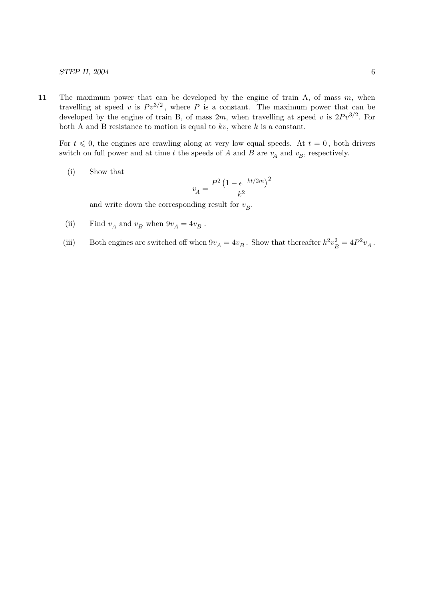11 The maximum power that can be developed by the engine of train A, of mass  $m$ , when travelling at speed v is  $P v^{3/2}$ , where P is a constant. The maximum power that can be developed by the engine of train B, of mass  $2m$ , when travelling at speed v is  $2Pv^{3/2}$ . For both A and B resistance to motion is equal to  $kv$ , where  $k$  is a constant.

For  $t \leq 0$ , the engines are crawling along at very low equal speeds. At  $t = 0$ , both drivers switch on full power and at time t the speeds of A and B are  $v_A$  and  $v_B$ , respectively.

(i) Show that

$$
v_A = \frac{P^2 (1 - e^{-kt/2m})^2}{k^2}
$$

and write down the corresponding result for  $v_B$ .

- (ii) Find  $v_A$  and  $v_B$  when  $9v_A = 4v_B$ .
- (iii) Both engines are switched off when  $9v_A = 4v_B$ . Show that thereafter  $k^2 v_F^2$  $b_B^2 = 4P^2v_A$ .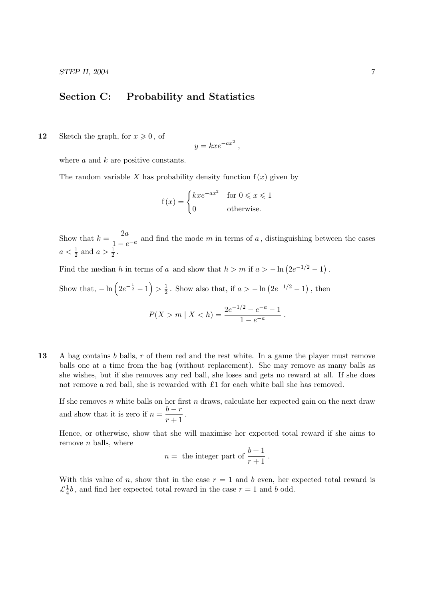$STEP$  II, 2004  $\qquad \qquad$  7

### Section C: Probability and Statistics

12 Sketch the graph, for  $x \geq 0$ , of

$$
y = kxe^{-ax^2},
$$

where  $a$  and  $k$  are positive constants.

The random variable X has probability density function  $f(x)$  given by

$$
f(x) = \begin{cases} kxe^{-ax^2} & \text{for } 0 \le x \le 1\\ 0 & \text{otherwise.} \end{cases}
$$

Show that  $k=\frac{2a}{1}$  $\frac{2a}{1-e^{-a}}$  and find the mode m in terms of a, distinguishing between the cases  $a < \frac{1}{2}$  and  $a > \frac{1}{2}$ .

Find the median h in terms of a and show that  $h > m$  if  $a > -\ln(2e^{-1/2} - 1)$ .

Show that,  $-\ln\left(2e^{-\frac{1}{2}}-1\right) > \frac{1}{2}$  $\frac{1}{2}$ . Show also that, if  $a > -\ln\left(2e^{-1/2} - 1\right)$ , then  $P(X > m \mid X < h) = \frac{2e^{-1/2} - e^{-a} - 1}{h}$  $\frac{c}{1 - e^{-a}}$ .

13 A bag contains b balls, r of them red and the rest white. In a game the player must remove balls one at a time from the bag (without replacement). She may remove as many balls as she wishes, but if she removes any red ball, she loses and gets no reward at all. If she does not remove a red ball, she is rewarded with £1 for each white ball she has removed.

If she removes n white balls on her first n draws, calculate her expected gain on the next draw and show that it is zero if  $n = \frac{b-r}{a-1}$  $\frac{5}{r+1}$ .

Hence, or otherwise, show that she will maximise her expected total reward if she aims to remove  $n$  balls, where

$$
n = \text{ the integer part of } \frac{b+1}{r+1} \, .
$$

With this value of n, show that in the case  $r = 1$  and b even, her expected total reward is  $\mathcal{L}^{\frac{1}{4}}$  $\frac{1}{4}b$ , and find her expected total reward in the case  $r = 1$  and b odd.